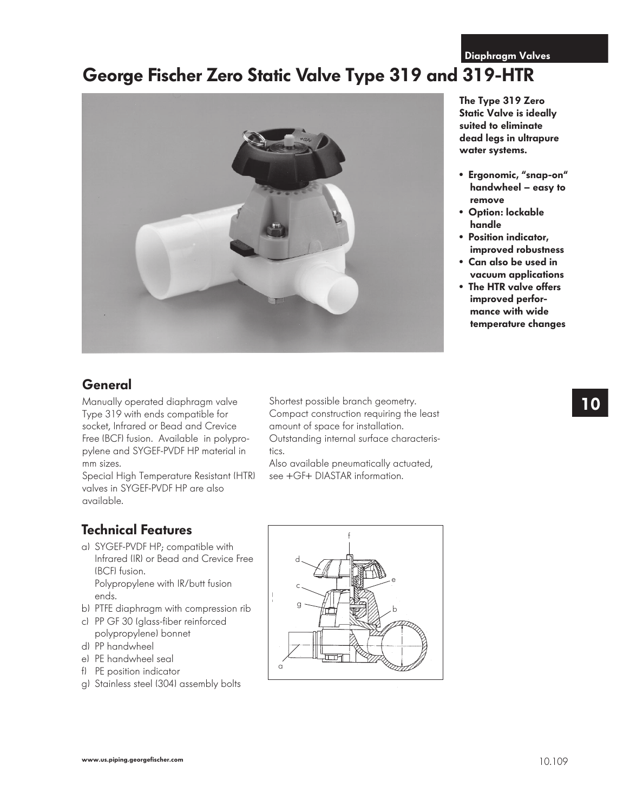**Diaphragm Valves**

# **George Fischer Zero Static Valve Type 319 and 319-HTR**



### **General**

Manually operated diaphragm valve Type 319 with ends compatible for socket, Infrared or Bead and Crevice Free (BCF) fusion. Available in polypropylene and SYGEF-PVDF HP material in mm sizes.

Special High Temperature Resistant (HTR) valves in SYGEF-PVDF HP are also available.

Shortest possible branch geometry. Compact construction requiring the least amount of space for installation. Outstanding internal surface characteris-

tics. Also available pneumatically actuated, see +GF+ DIASTAR information.

**Technical Features**

- a) SYGEF-PVDF HP; compatible with Infrared (IR) or Bead and Crevice Free (BCF) fusion. Polypropylene with IR/butt fusion ends.
- b) PTFE diaphragm with compression rib
- c) PP GF 30 (glass-fiber reinforced polypropylene) bonnet
- d) PP handwheel
- e) PE handwheel seal
- f) PE position indicator
- g) Stainless steel (304) assembly bolts



**The Type 319 Zero Static Valve is ideally suited to eliminate dead legs in ultrapure water systems.**

- **Ergonomic, "snap-on" handwheel – easy to remove**
- **Option: lockable handle**
- **Position indicator, improved robustness**
- **Can also be used in vacuum applications**
- **The HTR valve offers improved performance with wide temperature changes**

**10**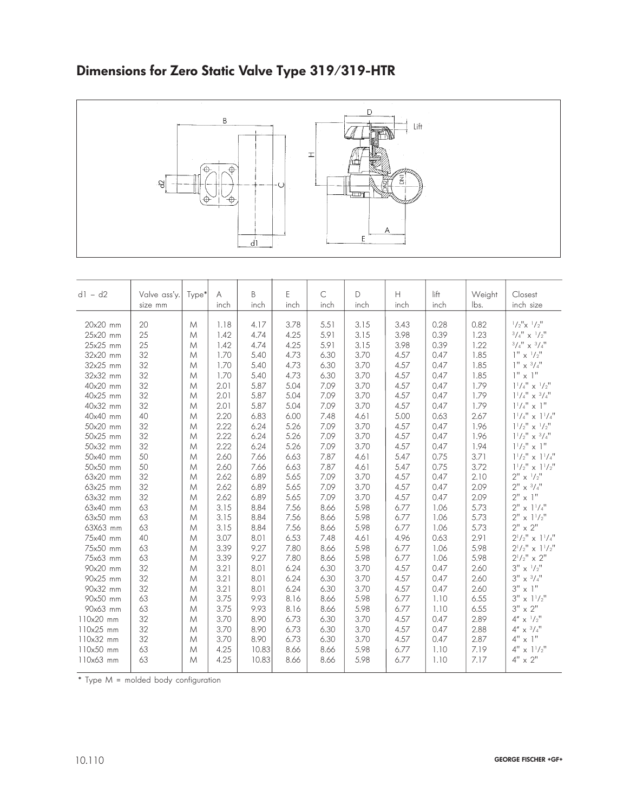## **Dimensions for Zero Static Valve Type 319/319-HTR**



| $d1 - d2$ |                         |       | A    | B     | E    | $\mathsf{C}$ | D    | $\boldsymbol{\mathsf{H}}$ | $l$ ift | Weight | Closest                                                         |
|-----------|-------------------------|-------|------|-------|------|--------------|------|---------------------------|---------|--------|-----------------------------------------------------------------|
|           | Valve ass'y.<br>size mm | Type* | inch | inch  | inch | inch         | inch | inch                      | inch    | lbs.   | inch size                                                       |
|           |                         |       |      |       |      |              |      |                           |         |        |                                                                 |
| 20x20 mm  | 20                      | M     | 1.18 | 4.17  | 3.78 | 5.51         | 3.15 | 3.43                      | 0.28    | 0.82   | $1/2$ " $\times$ $1/2$ "                                        |
| 25x20 mm  | 25                      | M     | 1.42 | 4.74  | 4.25 | 5.91         | 3.15 | 3.98                      | 0.39    | 1.23   | $3/4$ " x $1/2$ "                                               |
| 25x25 mm  | 25                      | M     | 1.42 | 4.74  | 4.25 | 5.91         | 3.15 | 3.98                      | 0.39    | 1.22   | $^3/\mathrm{4}^{\prime\prime}$ x $^3/\mathrm{4}^{\prime\prime}$ |
| 32x20 mm  | 32                      | M     | 1.70 | 5.40  | 4.73 | 6.30         | 3.70 | 4.57                      | 0.47    | 1.85   | $1'' \times \frac{1}{2}''$                                      |
| 32x25 mm  | 32                      | M     | 1.70 | 5.40  | 4.73 | 6.30         | 3.70 | 4.57                      | 0.47    | 1.85   | $1'' \times \frac{3}{4}''$                                      |
| 32x32 mm  | 32                      | M     | 1.70 | 5.40  | 4.73 | 6.30         | 3.70 | 4.57                      | 0.47    | 1.85   | $1" \times 1"$                                                  |
| 40x20 mm  | 32                      | M     | 2.01 | 5.87  | 5.04 | 7.09         | 3.70 | 4.57                      | 0.47    | 1.79   | $1^{1}/4"$ x $^{1}/2"$                                          |
| 40x25 mm  | 32                      | M     | 2.01 | 5.87  | 5.04 | 7.09         | 3.70 | 4.57                      | 0.47    | 1.79   | $1^{1}/4''$ x $3/4''$                                           |
| 40x32 mm  | 32                      | M     | 2.01 | 5.87  | 5.04 | 7.09         | 3.70 | 4.57                      | 0.47    | 1.79   | $1^{1}/4" \times 1"$                                            |
| 40x40 mm  | 40                      | M     | 2.20 | 6.83  | 6.00 | 7.48         | 4.61 | 5.00                      | 0.63    | 2.67   | $1^{1}/4"$ x $1^{1}/4"$                                         |
| 50x20 mm  | 32                      | M     | 2.22 | 6.24  | 5.26 | 7.09         | 3.70 | 4.57                      | 0.47    | 1.96   | $1^{1}/2"$ x $^{1}/2"$                                          |
| 50x25 mm  | 32                      | M     | 2.22 | 6.24  | 5.26 | 7.09         | 3.70 | 4.57                      | 0.47    | 1.96   | $1^{1}/2"$ x $3/4"$                                             |
| 50x32 mm  | 32                      | M     | 2.22 | 6.24  | 5.26 | 7.09         | 3.70 | 4.57                      | 0.47    | 1.94   | $1^{1}/2"$ x 1"                                                 |
| 50x40 mm  | 50                      | M     | 2.60 | 7.66  | 6.63 | 7.87         | 4.61 | 5.47                      | 0.75    | 3.71   | $1^{1}/2"$ x $1^{1}/4"$                                         |
| 50x50 mm  | 50                      | M     | 2.60 | 7.66  | 6.63 | 7.87         | 4.61 | 5.47                      | 0.75    | 3.72   | $1^{1}/2"$ x $1^{1}/2"$                                         |
| 63x20 mm  | 32                      | M     | 2.62 | 6.89  | 5.65 | 7.09         | 3.70 | 4.57                      | 0.47    | 2.10   | $2'' \times \frac{1}{2}''$                                      |
| 63x25 mm  | 32                      | M     | 2.62 | 6.89  | 5.65 | 7.09         | 3.70 | 4.57                      | 0.47    | 2.09   | $2'' \times \frac{3}{4}''$                                      |
| 63x32 mm  | 32                      | M     | 2.62 | 6.89  | 5.65 | 7.09         | 3.70 | 4.57                      | 0.47    | 2.09   | $2" \times 1"$                                                  |
| 63x40 mm  | 63                      | M     | 3.15 | 8.84  | 7.56 | 8.66         | 5.98 | 6.77                      | 1.06    | 5.73   | $2" \times 1'/4"$                                               |
| 63x50 mm  | 63                      | M     | 3.15 | 8.84  | 7.56 | 8.66         | 5.98 | 6.77                      | 1.06    | 5.73   | $2'' \times 1'/2''$                                             |
| 63X63 mm  | 63                      | M     | 3.15 | 8.84  | 7.56 | 8.66         | 5.98 | 6.77                      | 1.06    | 5.73   | $2" \times 2"$                                                  |
| 75x40 mm  | 40                      | M     | 3.07 | 8.01  | 6.53 | 7.48         | 4.61 | 4.96                      | 0.63    | 2.91   | $2^{1}/2"$ x $1^{1}/4"$                                         |
| 75x50 mm  | 63                      | M     | 3.39 | 9.27  | 7.80 | 8.66         | 5.98 | 6.77                      | 1.06    | 5.98   | $2^{1}/2"$ x $1^{1}/2"$                                         |
| 75x63 mm  | 63                      | M     | 3.39 | 9.27  | 7.80 | 8.66         | 5.98 | 6.77                      | 1.06    | 5.98   | $2^{1}/2" \times 2"$                                            |
| 90x20 mm  | 32                      | M     | 3.21 | 8.01  | 6.24 | 6.30         | 3.70 | 4.57                      | 0.47    | 2.60   | $3'' \times \frac{1}{2}$                                        |
| 90x25 mm  | 32                      | M     | 3.21 | 8.01  | 6.24 | 6.30         | 3.70 | 4.57                      | 0.47    | 2.60   | $3'' \times \frac{3}{4}''$                                      |
| 90x32 mm  | 32                      | M     | 3.21 | 8.01  | 6.24 | 6.30         | 3.70 | 4.57                      | 0.47    | 2.60   | $3" \times 1"$                                                  |
| 90x50 mm  | 63                      | M     | 3.75 | 9.93  | 8.16 | 8.66         | 5.98 | 6.77                      | 1.10    | 6.55   | $3'' \times 1'/2''$                                             |
| 90x63 mm  | 63                      | M     | 3.75 | 9.93  | 8.16 | 8.66         | 5.98 | 6.77                      | 1.10    | 6.55   | $3" \times 2"$                                                  |
| 110x20 mm | 32                      | M     | 3.70 | 8.90  | 6.73 | 6.30         | 3.70 | 4.57                      | 0.47    | 2.89   | 4''<br>$x^{-1}/2"$                                              |
| 110x25 mm | 32                      | M     | 3.70 | 8.90  | 6.73 | 6.30         | 3.70 | 4.57                      | 0.47    | 2.88   | $4'' \times \frac{3}{4}''$                                      |
| 110x32 mm | 32                      | M     | 3.70 | 8.90  | 6.73 | 6.30         | 3.70 | 4.57                      | 0.47    | 2.87   | 4" x 1"                                                         |
| 110x50 mm | 63                      | M     | 4.25 | 10.83 | 8.66 | 8.66         | 5.98 | 6.77                      | 1.10    | 7.19   | 4"<br>$x$ $1^{1}/2"$                                            |
| 110x63 mm | 63                      | M     | 4.25 | 10.83 | 8.66 | 8.66         | 5.98 | 6.77                      | 1.10    | 7.17   | $4" \times 2"$                                                  |

\* Type M = molded body configuration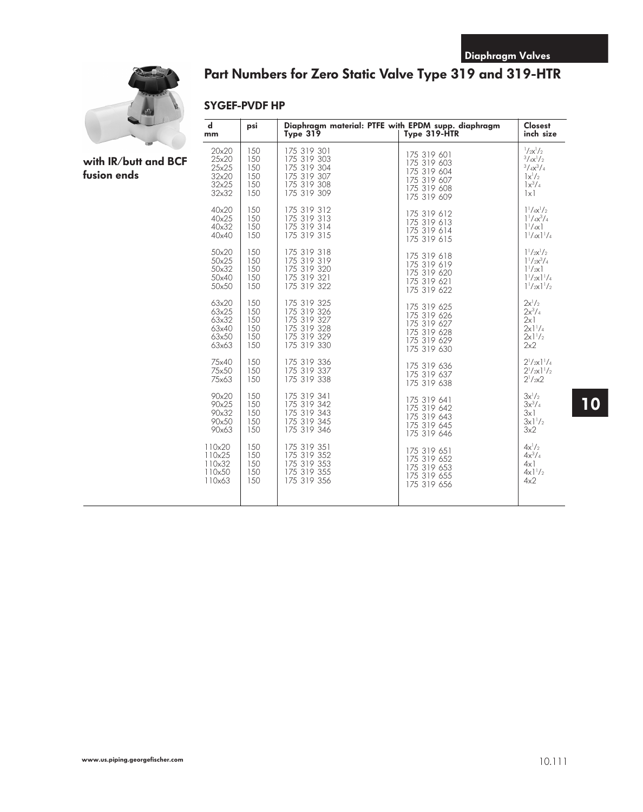

# **Part Numbers for Zero Static Valve Type 319 and 319-HTR**

#### **SYGEF-PVDF HP**

| with $IR/b$ utt and BCF |  |
|-------------------------|--|
| fusion ends             |  |

| $\mathbf d$<br>mm | psi | Diaphragm material: PTFE with EPDM supp. diaphragm<br>Type 319 | Type 319-HTR | <b>Closest</b><br>inch size              |
|-------------------|-----|----------------------------------------------------------------|--------------|------------------------------------------|
| 20×20             | 150 | 175 319 301                                                    | 175 319 601  | $1/2x^{1/2}$                             |
| 25x20             | 150 | 175 319 303                                                    | 175 319 603  | $3/\frac{4x^{1}}{2}$                     |
| 25x25             | 150 | 175 319 304                                                    | 175 319 604  | $3/\frac{4x^3}{4}$                       |
| 32x20             | 150 | 175 319 307                                                    | 175 319 607  | $\vert x \vert /2$                       |
| 32x25             | 150 | 175 319 308                                                    | 175 319 608  | $1x^3/4$                                 |
| 32x32             | 150 | 175 319 309                                                    | 175 319 609  | $\lfloor x \rfloor$                      |
| 40x20             | 150 | 175 319 312                                                    | 175 319 612  | $1^{1}/_{4}x^{1}/_{2}$                   |
| 40x25             | 150 | 175 319 313                                                    | 175 319 613  | $1^{1}/_{4}x^{3}/_{4}$                   |
| 40x32             | 150 | 175 319 314                                                    | 175 319 614  | $1^{1}/_{4}x$ ]                          |
| 40x40             | 150 | 175 319 315                                                    | 175 319 615  | $1^{1}/4x$ $1^{1}/4$                     |
| 50x20             | 150 | 175 319 318                                                    | 175 319 618  | $1^{1}/2x^{1}/2$                         |
| 50x25             | 150 | 175 319 319                                                    | 175 319 619  | $1^{1}/2x^{3}/4$                         |
| 50x32             | 150 | 175 319 320                                                    | 175 319 620  | $1^{1}/2x$                               |
| 50x40             | 150 | 175 319 321                                                    | 175 319 621  | $1\frac{1}{2}x$ $\frac{1}{4}$            |
| 50×50             | 150 | 175 319 322                                                    | 175 319 622  | $1^{1}/2x$ $1^{1}/2$                     |
| 63x20             | 150 | 175 319 325                                                    | 175 319 625  | $2x^1/2$                                 |
| 63x25             | 150 | 175 319 326                                                    | 175 319 626  | $2x^3/4$                                 |
| 63x32             | 150 | 175 319 327                                                    | 175 319 627  | 2x1                                      |
| 63x40             | 150 | 175 319 328                                                    | 175 319 628  | $2x$ ] <sup>1</sup> / <sub>4</sub>       |
| 63x50             | 150 | 175 319 329                                                    | 175 319 629  | $2x1^{1}/2$                              |
| 63x63             | 150 | 175 319 330                                                    | 175 319 630  | 2x2                                      |
| 75x40             | 150 | 175 319 336                                                    | 175 319 636  | $2^{1}/2x$ ] <sup>1</sup> / <sub>4</sub> |
| 75x50             | 150 | 175 319 337                                                    | 175 319 637  | $2^{1}/2x$ ] <sup>1</sup> / <sub>2</sub> |
| 75x63             | 150 | 175 319 338                                                    | 175 319 638  | $2^{1}/2x^{2}$                           |
| 90x20             | 150 | 175 319 341                                                    | 175 319 641  | $3x^1/2$                                 |
| 90x25             | 150 | 175 319 342                                                    | 175 319 642  | $3x^3/4$                                 |
| 90x32             | 150 | 175 319 343                                                    | 175 319 643  | 3x1                                      |
| 90x50             | 150 | 175 319 345                                                    | 175 319 645  | $3x1^{1}/2$                              |
| 90x63             | 150 | 175 319 346                                                    | 175 319 646  | 3x2                                      |
| 110x20            | 150 | 175 319 351                                                    | 175 319 651  | $4x^{1}/2$                               |
| 110x25            | 150 | 175 319 352                                                    | 175 319 652  | $4x^3/4$                                 |
| 110x32            | 150 | 175 319 353                                                    | 175 319 653  | $4x$ ]                                   |
| 110x50            | 150 | 175 319 355                                                    | 175 319 655  | $4x$ ] <sup>1</sup> / <sub>2</sub>       |
| 110x63            | 150 | 175 319 356                                                    | 175 319 656  | 4x2                                      |

### **10**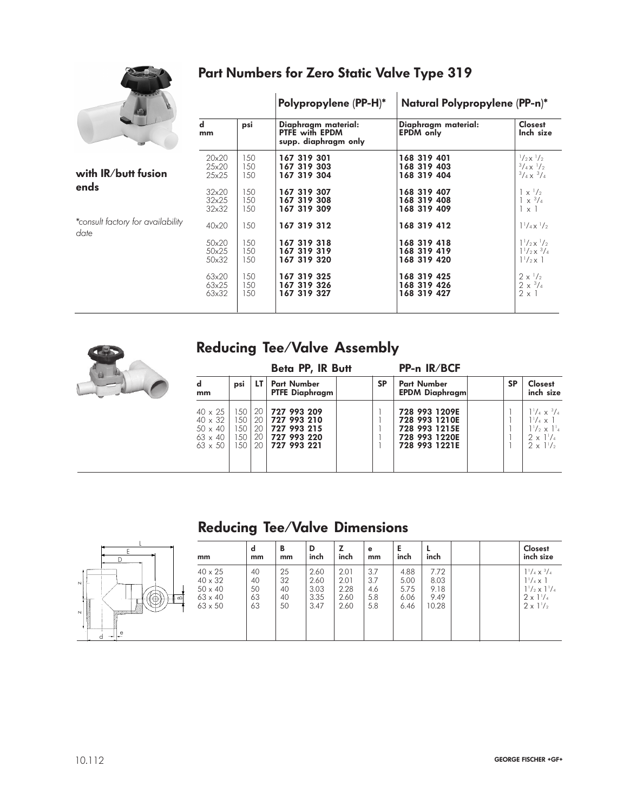

### **Part Numbers for Zero Static Valve Type 319**

|                                           |                         |                   | Polypropylene (PP-H)*                                                | Natural Polypropylene (PP-n)*             |                                                                                |  |  |
|-------------------------------------------|-------------------------|-------------------|----------------------------------------------------------------------|-------------------------------------------|--------------------------------------------------------------------------------|--|--|
|                                           | $\mathbf d$<br>mm       | psi               | Diaphragm material:<br><b>PTFE with EPDM</b><br>supp. diaphragm only | Diaphragm material:<br><b>EPDM</b> only   | <b>Closest</b><br>Inch size                                                    |  |  |
| with $IR/b$ utt fusion                    | 20x20                   | 150               | 167 319 301                                                          | 168 319 401                               | $^{1}/_{2}x^{1}/_{2}$                                                          |  |  |
|                                           | 25x20                   | 150               | 167 319 303                                                          | 168 319 403                               | $\frac{3}{4}$ X $\frac{1}{2}$                                                  |  |  |
|                                           | 25x25                   | 150               | 167 319 304                                                          | 168 319 404                               | $\frac{3}{4} \times \frac{3}{4}$                                               |  |  |
| ends                                      | 32x20                   | 150               | 167 319 307                                                          | 168 319 407                               | $x^{-1}/2$                                                                     |  |  |
|                                           | 32x25                   | 150               | 167 319 308                                                          | 168 319 408                               | $\times \frac{3}{4}$                                                           |  |  |
|                                           | 32x32                   | 150               | 167 319 309                                                          | 168 319 409                               | $\times$ 1                                                                     |  |  |
| *consult factory for availability<br>date | 40x20<br>50x20<br>50x25 | 150<br>150<br>150 | 167 319 312<br>167 319 318<br>167 319 319                            | 168 319 412<br>168 319 418<br>168 319 419 | $1^{1}/_{4} \times 1/_{2}$<br>$1^{1}/2x^{1}/2$<br>$1^{1}/2 \times \frac{3}{4}$ |  |  |
|                                           | 50x32                   | 150               | 167 319 320                                                          | 168 319 420                               | $1^{1}/_{2} \times 1$                                                          |  |  |
|                                           | 63x20                   | 150               | 167 319 325                                                          | 168 319 425                               | $2 \times \frac{1}{2}$                                                         |  |  |
|                                           | 63x25                   | 150               | 167 319 326                                                          | 168 319 426                               | $2 \times \frac{3}{4}$                                                         |  |  |
|                                           | 63x32                   | 150               | 167 319 327                                                          | 168 319 427                               | $2 \times 1$                                                                   |  |  |



### **Reducing Tee/Valve Assembly**

|                                                                                        |                                    |                                         | Beta PP, IR Butt                                                           |           | PP-n IR/BCF                                                                       |           |                                                                                                                         |
|----------------------------------------------------------------------------------------|------------------------------------|-----------------------------------------|----------------------------------------------------------------------------|-----------|-----------------------------------------------------------------------------------|-----------|-------------------------------------------------------------------------------------------------------------------------|
| $\mathbf d$<br>mm                                                                      | psi                                | LT I                                    | <b>Part Number</b><br><b>PTFE Diaphragm</b>                                | <b>SP</b> | <b>Part Number</b><br><b>EPDM Diaphragm</b>                                       | <b>SP</b> | <b>Closest</b><br>inch size                                                                                             |
| $40 \times 25$<br>$40 \times 32$<br>$50 \times 40$<br>$63 \times 40$<br>$63 \times 50$ | 150 I<br>150<br>150<br>150<br>1.50 | 20 I<br>20 I<br>20 I<br>20 <sub>1</sub> | 20 727 993 209<br>727 993 210<br>727 993 215<br>727 993 220<br>727 993 221 |           | 728 993 1209E<br>728 993 1210E<br>728 993 1215E<br>728 993 1220E<br>728 993 1221E |           | $1^{1}/_{4} \times 3/_{4}$<br>$1^{1}/_{4} \times 1$<br>$1^{1}/_{2} \times 1^{1}$<br>$2 \times 1^{1}/4$<br>$2 \times 11$ |

# **Reducing Tee/Valve Dimensions**



| mm                                                                                     | d<br>mm                    | B<br>mm                    | D<br>inch                            | z<br>inch                            | е<br>mm                         | Е<br>inch                            | inch                                  |  | <b>Closest</b><br>inch size                                                                                                                              |
|----------------------------------------------------------------------------------------|----------------------------|----------------------------|--------------------------------------|--------------------------------------|---------------------------------|--------------------------------------|---------------------------------------|--|----------------------------------------------------------------------------------------------------------------------------------------------------------|
| $40 \times 25$<br>$40 \times 32$<br>$50 \times 40$<br>$63 \times 40$<br>$63 \times 50$ | 40<br>40<br>50<br>63<br>63 | 25<br>32<br>40<br>40<br>50 | 2.60<br>2.60<br>3.03<br>3.35<br>3.47 | 2.01<br>2.01<br>2.28<br>2.60<br>2.60 | 3.7<br>3.7<br>4.6<br>5.8<br>5.8 | 4.88<br>5.00<br>5.75<br>6.06<br>6.46 | 7.72<br>8.03<br>9.18<br>9.49<br>10.28 |  | $1\frac{1}{4} \times \frac{3}{4}$<br>$1\frac{1}{4} \times 1$<br>$1\frac{1}{2} \times 1\frac{1}{4}$<br>$2 \times 1\frac{1}{4}$<br>$2 \times 1\frac{1}{2}$ |